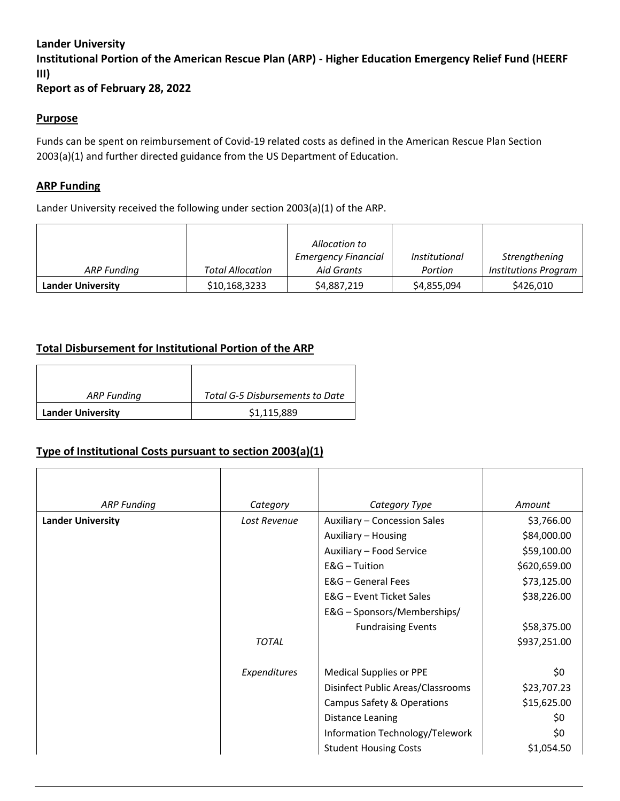### **Lander University**

**Institutional Portion of the American Rescue Plan (ARP) - Higher Education Emergency Relief Fund (HEERF III)**

**Report as of February 28, 2022**

#### **Purpose**

Funds can be spent on reimbursement of Covid-19 related costs as defined in the American Rescue Plan Section 2003(a)(1) and further directed guidance from the US Department of Education.

#### **ARP Funding**

Lander University received the following under section 2003(a)(1) of the ARP.

|                          |                         | Allocation to                            |                                 |                                              |
|--------------------------|-------------------------|------------------------------------------|---------------------------------|----------------------------------------------|
| ARP Funding              | <b>Total Allocation</b> | <b>Emergency Financial</b><br>Aid Grants | <i>Institutional</i><br>Portion | Strengthening<br><b>Institutions Program</b> |
| <b>Lander University</b> | \$10,168,3233           | \$4,887,219                              | \$4,855,094                     | \$426,010                                    |

# **Total Disbursement for Institutional Portion of the ARP**

| ARP Funding              | Total G-5 Disbursements to Date |  |  |
|--------------------------|---------------------------------|--|--|
| <b>Lander University</b> | \$1,115,889                     |  |  |

# **Type of Institutional Costs pursuant to section 2003(a)(1)**

| <b>ARP Funding</b>       | Category     | Category Type                     | Amount       |
|--------------------------|--------------|-----------------------------------|--------------|
| <b>Lander University</b> | Lost Revenue | Auxiliary - Concession Sales      | \$3,766.00   |
|                          |              | Auxiliary - Housing               | \$84,000.00  |
|                          |              | Auxiliary - Food Service          | \$59,100.00  |
|                          |              | $E&G$ – Tuition                   | \$620,659.00 |
|                          |              | E&G - General Fees                | \$73,125.00  |
|                          |              | E&G - Event Ticket Sales          | \$38,226.00  |
|                          |              | E&G - Sponsors/Memberships/       |              |
|                          |              | <b>Fundraising Events</b>         | \$58,375.00  |
|                          | <b>TOTAL</b> |                                   | \$937,251.00 |
|                          | Expenditures | <b>Medical Supplies or PPE</b>    | \$0          |
|                          |              | Disinfect Public Areas/Classrooms | \$23,707.23  |
|                          |              | Campus Safety & Operations        | \$15,625.00  |
|                          |              | Distance Leaning                  | \$0          |
|                          |              | Information Technology/Telework   | \$0          |
|                          |              | <b>Student Housing Costs</b>      | \$1,054.50   |